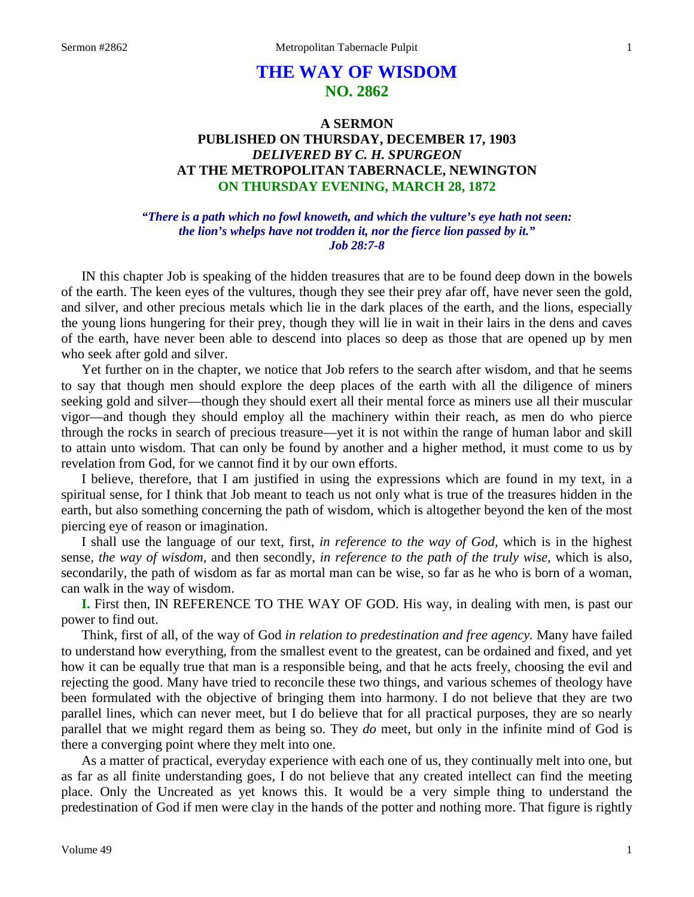# **THE WAY OF WISDOM NO. 2862**

## **A SERMON PUBLISHED ON THURSDAY, DECEMBER 17, 1903** *DELIVERED BY C. H. SPURGEON* **AT THE METROPOLITAN TABERNACLE, NEWINGTON ON THURSDAY EVENING, MARCH 28, 1872**

## *"There is a path which no fowl knoweth, and which the vulture's eye hath not seen: the lion's whelps have not trodden it, nor the fierce lion passed by it." Job 28:7-8*

IN this chapter Job is speaking of the hidden treasures that are to be found deep down in the bowels of the earth. The keen eyes of the vultures, though they see their prey afar off, have never seen the gold, and silver, and other precious metals which lie in the dark places of the earth, and the lions, especially the young lions hungering for their prey, though they will lie in wait in their lairs in the dens and caves of the earth, have never been able to descend into places so deep as those that are opened up by men who seek after gold and silver.

Yet further on in the chapter, we notice that Job refers to the search after wisdom, and that he seems to say that though men should explore the deep places of the earth with all the diligence of miners seeking gold and silver—though they should exert all their mental force as miners use all their muscular vigor—and though they should employ all the machinery within their reach, as men do who pierce through the rocks in search of precious treasure—yet it is not within the range of human labor and skill to attain unto wisdom. That can only be found by another and a higher method, it must come to us by revelation from God, for we cannot find it by our own efforts.

I believe, therefore, that I am justified in using the expressions which are found in my text, in a spiritual sense, for I think that Job meant to teach us not only what is true of the treasures hidden in the earth, but also something concerning the path of wisdom, which is altogether beyond the ken of the most piercing eye of reason or imagination.

I shall use the language of our text, first, *in reference to the way of God,* which is in the highest sense, *the way of wisdom,* and then secondly, *in reference to the path of the truly wise,* which is also, secondarily, the path of wisdom as far as mortal man can be wise, so far as he who is born of a woman, can walk in the way of wisdom.

**I.** First then, IN REFERENCE TO THE WAY OF GOD. His way, in dealing with men, is past our power to find out.

Think, first of all, of the way of God *in relation to predestination and free agency.* Many have failed to understand how everything, from the smallest event to the greatest, can be ordained and fixed, and yet how it can be equally true that man is a responsible being, and that he acts freely, choosing the evil and rejecting the good. Many have tried to reconcile these two things, and various schemes of theology have been formulated with the objective of bringing them into harmony. I do not believe that they are two parallel lines, which can never meet, but I do believe that for all practical purposes, they are so nearly parallel that we might regard them as being so. They *do* meet, but only in the infinite mind of God is there a converging point where they melt into one.

As a matter of practical, everyday experience with each one of us, they continually melt into one, but as far as all finite understanding goes, I do not believe that any created intellect can find the meeting place. Only the Uncreated as yet knows this. It would be a very simple thing to understand the predestination of God if men were clay in the hands of the potter and nothing more. That figure is rightly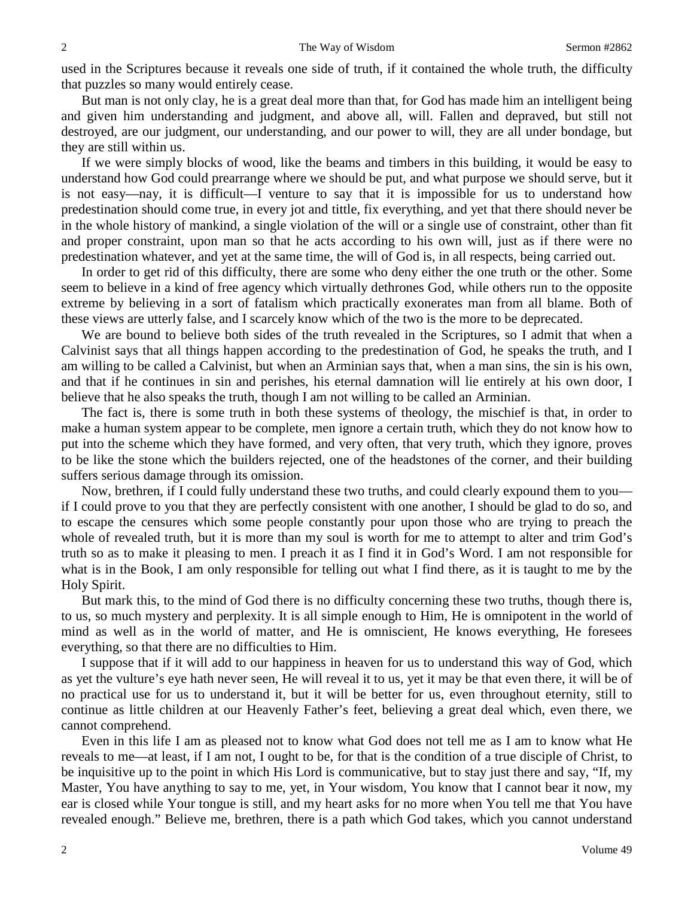used in the Scriptures because it reveals one side of truth, if it contained the whole truth, the difficulty that puzzles so many would entirely cease.

But man is not only clay, he is a great deal more than that, for God has made him an intelligent being and given him understanding and judgment, and above all, will. Fallen and depraved, but still not destroyed, are our judgment, our understanding, and our power to will, they are all under bondage, but they are still within us.

If we were simply blocks of wood, like the beams and timbers in this building, it would be easy to understand how God could prearrange where we should be put, and what purpose we should serve, but it is not easy—nay, it is difficult—I venture to say that it is impossible for us to understand how predestination should come true, in every jot and tittle, fix everything, and yet that there should never be in the whole history of mankind, a single violation of the will or a single use of constraint, other than fit and proper constraint, upon man so that he acts according to his own will, just as if there were no predestination whatever, and yet at the same time, the will of God is, in all respects, being carried out.

In order to get rid of this difficulty, there are some who deny either the one truth or the other. Some seem to believe in a kind of free agency which virtually dethrones God, while others run to the opposite extreme by believing in a sort of fatalism which practically exonerates man from all blame. Both of these views are utterly false, and I scarcely know which of the two is the more to be deprecated.

We are bound to believe both sides of the truth revealed in the Scriptures, so I admit that when a Calvinist says that all things happen according to the predestination of God, he speaks the truth, and I am willing to be called a Calvinist, but when an Arminian says that, when a man sins, the sin is his own, and that if he continues in sin and perishes, his eternal damnation will lie entirely at his own door, I believe that he also speaks the truth, though I am not willing to be called an Arminian.

The fact is, there is some truth in both these systems of theology, the mischief is that, in order to make a human system appear to be complete, men ignore a certain truth, which they do not know how to put into the scheme which they have formed, and very often, that very truth, which they ignore, proves to be like the stone which the builders rejected, one of the headstones of the corner, and their building suffers serious damage through its omission.

Now, brethren, if I could fully understand these two truths, and could clearly expound them to you if I could prove to you that they are perfectly consistent with one another, I should be glad to do so, and to escape the censures which some people constantly pour upon those who are trying to preach the whole of revealed truth, but it is more than my soul is worth for me to attempt to alter and trim God's truth so as to make it pleasing to men. I preach it as I find it in God's Word. I am not responsible for what is in the Book, I am only responsible for telling out what I find there, as it is taught to me by the Holy Spirit.

But mark this, to the mind of God there is no difficulty concerning these two truths, though there is, to us, so much mystery and perplexity. It is all simple enough to Him, He is omnipotent in the world of mind as well as in the world of matter, and He is omniscient, He knows everything, He foresees everything, so that there are no difficulties to Him.

I suppose that if it will add to our happiness in heaven for us to understand this way of God, which as yet the vulture's eye hath never seen, He will reveal it to us, yet it may be that even there, it will be of no practical use for us to understand it, but it will be better for us, even throughout eternity, still to continue as little children at our Heavenly Father's feet, believing a great deal which, even there, we cannot comprehend.

Even in this life I am as pleased not to know what God does not tell me as I am to know what He reveals to me—at least, if I am not, I ought to be, for that is the condition of a true disciple of Christ, to be inquisitive up to the point in which His Lord is communicative, but to stay just there and say, "If, my Master, You have anything to say to me, yet, in Your wisdom, You know that I cannot bear it now, my ear is closed while Your tongue is still, and my heart asks for no more when You tell me that You have revealed enough." Believe me, brethren, there is a path which God takes, which you cannot understand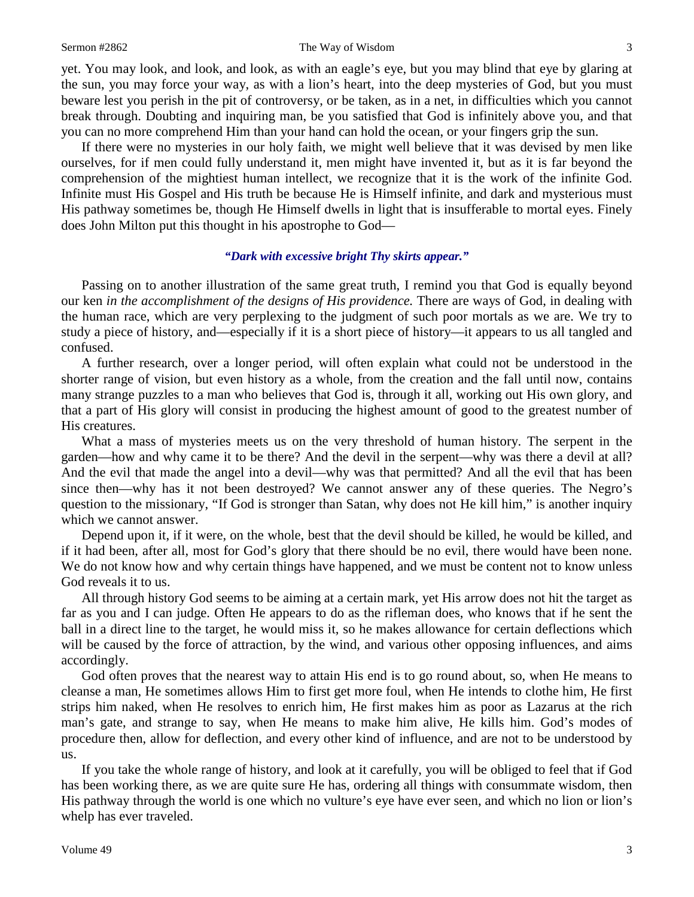#### Sermon #2862 The Way of Wisdom 3

yet. You may look, and look, and look, as with an eagle's eye, but you may blind that eye by glaring at the sun, you may force your way, as with a lion's heart, into the deep mysteries of God, but you must beware lest you perish in the pit of controversy, or be taken, as in a net, in difficulties which you cannot break through. Doubting and inquiring man, be you satisfied that God is infinitely above you, and that you can no more comprehend Him than your hand can hold the ocean, or your fingers grip the sun.

If there were no mysteries in our holy faith, we might well believe that it was devised by men like ourselves, for if men could fully understand it, men might have invented it, but as it is far beyond the comprehension of the mightiest human intellect, we recognize that it is the work of the infinite God. Infinite must His Gospel and His truth be because He is Himself infinite, and dark and mysterious must His pathway sometimes be, though He Himself dwells in light that is insufferable to mortal eyes. Finely does John Milton put this thought in his apostrophe to God—

## *"Dark with excessive bright Thy skirts appear."*

Passing on to another illustration of the same great truth, I remind you that God is equally beyond our ken *in the accomplishment of the designs of His providence.* There are ways of God, in dealing with the human race, which are very perplexing to the judgment of such poor mortals as we are. We try to study a piece of history, and—especially if it is a short piece of history—it appears to us all tangled and confused.

A further research, over a longer period, will often explain what could not be understood in the shorter range of vision, but even history as a whole, from the creation and the fall until now, contains many strange puzzles to a man who believes that God is, through it all, working out His own glory, and that a part of His glory will consist in producing the highest amount of good to the greatest number of His creatures.

What a mass of mysteries meets us on the very threshold of human history. The serpent in the garden—how and why came it to be there? And the devil in the serpent—why was there a devil at all? And the evil that made the angel into a devil—why was that permitted? And all the evil that has been since then—why has it not been destroyed? We cannot answer any of these queries. The Negro's question to the missionary, "If God is stronger than Satan, why does not He kill him," is another inquiry which we cannot answer.

Depend upon it, if it were, on the whole, best that the devil should be killed, he would be killed, and if it had been, after all, most for God's glory that there should be no evil, there would have been none. We do not know how and why certain things have happened, and we must be content not to know unless God reveals it to us.

All through history God seems to be aiming at a certain mark, yet His arrow does not hit the target as far as you and I can judge. Often He appears to do as the rifleman does, who knows that if he sent the ball in a direct line to the target, he would miss it, so he makes allowance for certain deflections which will be caused by the force of attraction, by the wind, and various other opposing influences, and aims accordingly.

God often proves that the nearest way to attain His end is to go round about, so, when He means to cleanse a man, He sometimes allows Him to first get more foul, when He intends to clothe him, He first strips him naked, when He resolves to enrich him, He first makes him as poor as Lazarus at the rich man's gate, and strange to say, when He means to make him alive, He kills him. God's modes of procedure then, allow for deflection, and every other kind of influence, and are not to be understood by us.

If you take the whole range of history, and look at it carefully, you will be obliged to feel that if God has been working there, as we are quite sure He has, ordering all things with consummate wisdom, then His pathway through the world is one which no vulture's eye have ever seen, and which no lion or lion's whelp has ever traveled.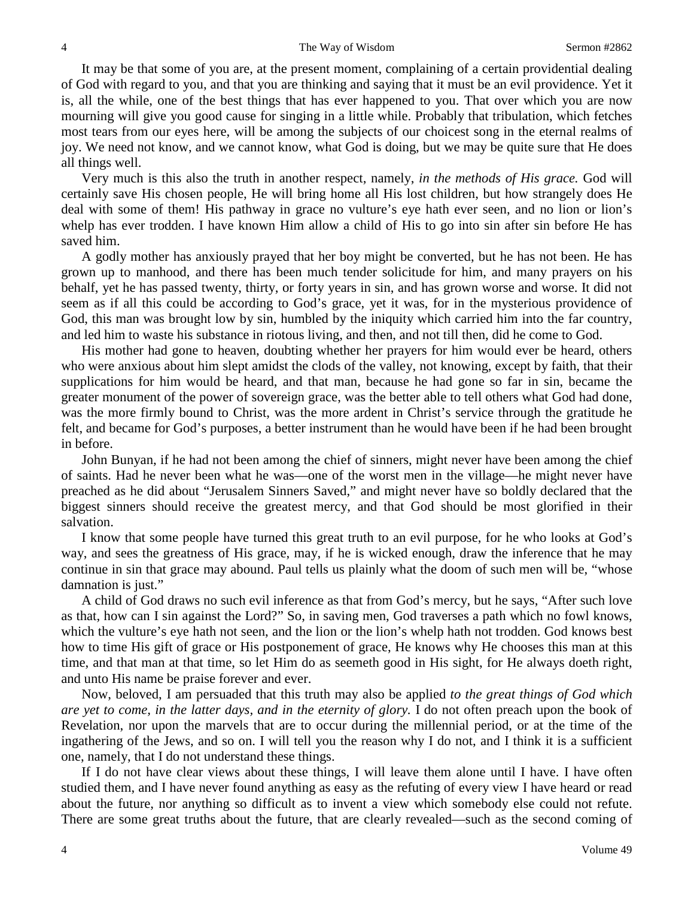It may be that some of you are, at the present moment, complaining of a certain providential dealing of God with regard to you, and that you are thinking and saying that it must be an evil providence. Yet it is, all the while, one of the best things that has ever happened to you. That over which you are now mourning will give you good cause for singing in a little while. Probably that tribulation, which fetches most tears from our eyes here, will be among the subjects of our choicest song in the eternal realms of joy. We need not know, and we cannot know, what God is doing, but we may be quite sure that He does all things well.

Very much is this also the truth in another respect, namely, *in the methods of His grace.* God will certainly save His chosen people, He will bring home all His lost children, but how strangely does He deal with some of them! His pathway in grace no vulture's eye hath ever seen, and no lion or lion's whelp has ever trodden. I have known Him allow a child of His to go into sin after sin before He has saved him.

A godly mother has anxiously prayed that her boy might be converted, but he has not been. He has grown up to manhood, and there has been much tender solicitude for him, and many prayers on his behalf, yet he has passed twenty, thirty, or forty years in sin, and has grown worse and worse. It did not seem as if all this could be according to God's grace, yet it was, for in the mysterious providence of God, this man was brought low by sin, humbled by the iniquity which carried him into the far country, and led him to waste his substance in riotous living, and then, and not till then, did he come to God.

His mother had gone to heaven, doubting whether her prayers for him would ever be heard, others who were anxious about him slept amidst the clods of the valley, not knowing, except by faith, that their supplications for him would be heard, and that man, because he had gone so far in sin, became the greater monument of the power of sovereign grace, was the better able to tell others what God had done, was the more firmly bound to Christ, was the more ardent in Christ's service through the gratitude he felt, and became for God's purposes, a better instrument than he would have been if he had been brought in before.

John Bunyan, if he had not been among the chief of sinners, might never have been among the chief of saints. Had he never been what he was—one of the worst men in the village—he might never have preached as he did about "Jerusalem Sinners Saved," and might never have so boldly declared that the biggest sinners should receive the greatest mercy, and that God should be most glorified in their salvation.

I know that some people have turned this great truth to an evil purpose, for he who looks at God's way, and sees the greatness of His grace, may, if he is wicked enough, draw the inference that he may continue in sin that grace may abound. Paul tells us plainly what the doom of such men will be, "whose damnation is just."

A child of God draws no such evil inference as that from God's mercy, but he says, "After such love as that, how can I sin against the Lord?" So, in saving men, God traverses a path which no fowl knows, which the vulture's eye hath not seen, and the lion or the lion's whelp hath not trodden. God knows best how to time His gift of grace or His postponement of grace, He knows why He chooses this man at this time, and that man at that time, so let Him do as seemeth good in His sight, for He always doeth right, and unto His name be praise forever and ever.

Now, beloved, I am persuaded that this truth may also be applied *to the great things of God which are yet to come, in the latter days, and in the eternity of glory.* I do not often preach upon the book of Revelation, nor upon the marvels that are to occur during the millennial period, or at the time of the ingathering of the Jews, and so on. I will tell you the reason why I do not, and I think it is a sufficient one, namely, that I do not understand these things.

If I do not have clear views about these things, I will leave them alone until I have. I have often studied them, and I have never found anything as easy as the refuting of every view I have heard or read about the future, nor anything so difficult as to invent a view which somebody else could not refute. There are some great truths about the future, that are clearly revealed—such as the second coming of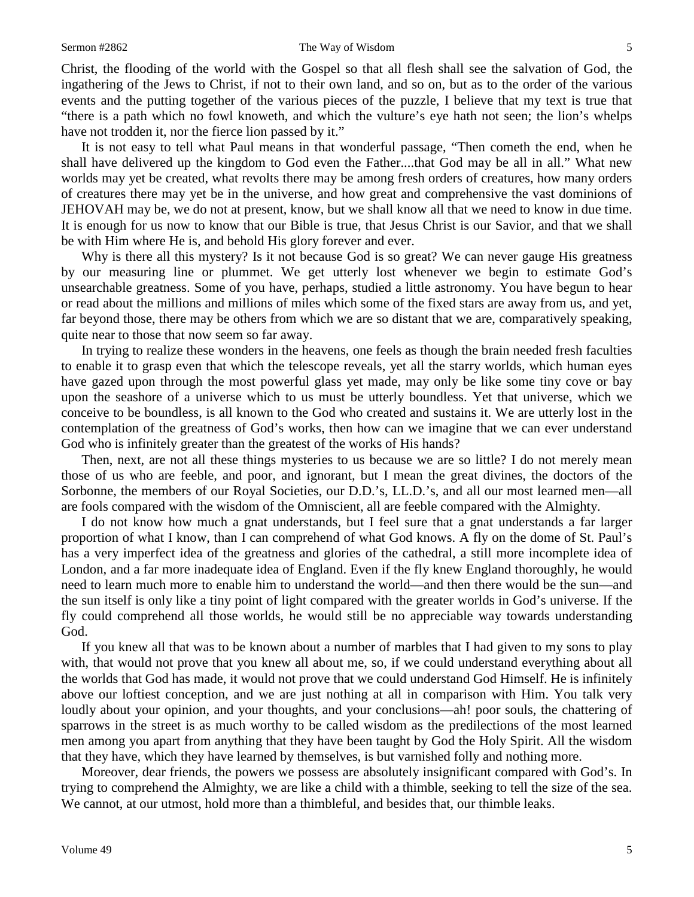#### Sermon #2862 The Way of Wisdom 5

Christ, the flooding of the world with the Gospel so that all flesh shall see the salvation of God, the ingathering of the Jews to Christ, if not to their own land, and so on, but as to the order of the various events and the putting together of the various pieces of the puzzle, I believe that my text is true that "there is a path which no fowl knoweth, and which the vulture's eye hath not seen; the lion's whelps have not trodden it, nor the fierce lion passed by it."

It is not easy to tell what Paul means in that wonderful passage, "Then cometh the end, when he shall have delivered up the kingdom to God even the Father....that God may be all in all." What new worlds may yet be created, what revolts there may be among fresh orders of creatures, how many orders of creatures there may yet be in the universe, and how great and comprehensive the vast dominions of JEHOVAH may be, we do not at present, know, but we shall know all that we need to know in due time. It is enough for us now to know that our Bible is true, that Jesus Christ is our Savior, and that we shall be with Him where He is, and behold His glory forever and ever.

Why is there all this mystery? Is it not because God is so great? We can never gauge His greatness by our measuring line or plummet. We get utterly lost whenever we begin to estimate God's unsearchable greatness. Some of you have, perhaps, studied a little astronomy. You have begun to hear or read about the millions and millions of miles which some of the fixed stars are away from us, and yet, far beyond those, there may be others from which we are so distant that we are, comparatively speaking, quite near to those that now seem so far away.

In trying to realize these wonders in the heavens, one feels as though the brain needed fresh faculties to enable it to grasp even that which the telescope reveals, yet all the starry worlds, which human eyes have gazed upon through the most powerful glass yet made, may only be like some tiny cove or bay upon the seashore of a universe which to us must be utterly boundless. Yet that universe, which we conceive to be boundless, is all known to the God who created and sustains it. We are utterly lost in the contemplation of the greatness of God's works, then how can we imagine that we can ever understand God who is infinitely greater than the greatest of the works of His hands?

Then, next, are not all these things mysteries to us because we are so little? I do not merely mean those of us who are feeble, and poor, and ignorant, but I mean the great divines, the doctors of the Sorbonne, the members of our Royal Societies, our D.D.'s, LL.D.'s, and all our most learned men—all are fools compared with the wisdom of the Omniscient, all are feeble compared with the Almighty.

I do not know how much a gnat understands, but I feel sure that a gnat understands a far larger proportion of what I know, than I can comprehend of what God knows. A fly on the dome of St. Paul's has a very imperfect idea of the greatness and glories of the cathedral, a still more incomplete idea of London, and a far more inadequate idea of England. Even if the fly knew England thoroughly, he would need to learn much more to enable him to understand the world—and then there would be the sun—and the sun itself is only like a tiny point of light compared with the greater worlds in God's universe. If the fly could comprehend all those worlds, he would still be no appreciable way towards understanding God.

If you knew all that was to be known about a number of marbles that I had given to my sons to play with, that would not prove that you knew all about me, so, if we could understand everything about all the worlds that God has made, it would not prove that we could understand God Himself. He is infinitely above our loftiest conception, and we are just nothing at all in comparison with Him. You talk very loudly about your opinion, and your thoughts, and your conclusions—ah! poor souls, the chattering of sparrows in the street is as much worthy to be called wisdom as the predilections of the most learned men among you apart from anything that they have been taught by God the Holy Spirit. All the wisdom that they have, which they have learned by themselves, is but varnished folly and nothing more.

Moreover, dear friends, the powers we possess are absolutely insignificant compared with God's. In trying to comprehend the Almighty, we are like a child with a thimble, seeking to tell the size of the sea. We cannot, at our utmost, hold more than a thimbleful, and besides that, our thimble leaks.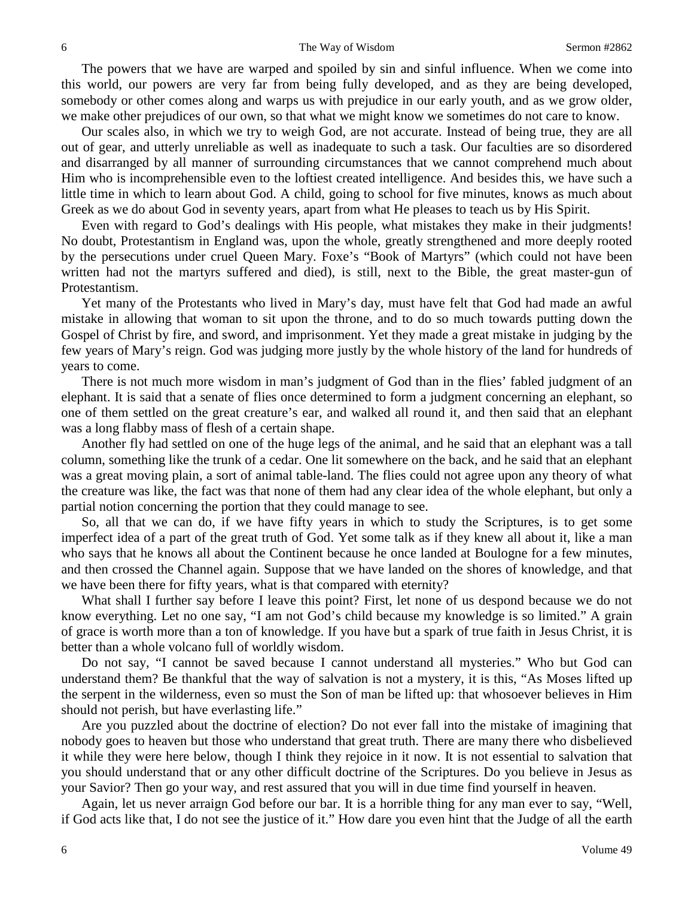The powers that we have are warped and spoiled by sin and sinful influence. When we come into this world, our powers are very far from being fully developed, and as they are being developed, somebody or other comes along and warps us with prejudice in our early youth, and as we grow older, we make other prejudices of our own, so that what we might know we sometimes do not care to know.

Our scales also, in which we try to weigh God, are not accurate. Instead of being true, they are all out of gear, and utterly unreliable as well as inadequate to such a task. Our faculties are so disordered and disarranged by all manner of surrounding circumstances that we cannot comprehend much about Him who is incomprehensible even to the loftiest created intelligence. And besides this, we have such a little time in which to learn about God. A child, going to school for five minutes, knows as much about Greek as we do about God in seventy years, apart from what He pleases to teach us by His Spirit.

Even with regard to God's dealings with His people, what mistakes they make in their judgments! No doubt, Protestantism in England was, upon the whole, greatly strengthened and more deeply rooted by the persecutions under cruel Queen Mary. Foxe's "Book of Martyrs" (which could not have been written had not the martyrs suffered and died), is still, next to the Bible, the great master-gun of Protestantism.

Yet many of the Protestants who lived in Mary's day, must have felt that God had made an awful mistake in allowing that woman to sit upon the throne, and to do so much towards putting down the Gospel of Christ by fire, and sword, and imprisonment. Yet they made a great mistake in judging by the few years of Mary's reign. God was judging more justly by the whole history of the land for hundreds of years to come.

There is not much more wisdom in man's judgment of God than in the flies' fabled judgment of an elephant. It is said that a senate of flies once determined to form a judgment concerning an elephant, so one of them settled on the great creature's ear, and walked all round it, and then said that an elephant was a long flabby mass of flesh of a certain shape.

Another fly had settled on one of the huge legs of the animal, and he said that an elephant was a tall column, something like the trunk of a cedar. One lit somewhere on the back, and he said that an elephant was a great moving plain, a sort of animal table-land. The flies could not agree upon any theory of what the creature was like, the fact was that none of them had any clear idea of the whole elephant, but only a partial notion concerning the portion that they could manage to see.

So, all that we can do, if we have fifty years in which to study the Scriptures, is to get some imperfect idea of a part of the great truth of God. Yet some talk as if they knew all about it, like a man who says that he knows all about the Continent because he once landed at Boulogne for a few minutes, and then crossed the Channel again. Suppose that we have landed on the shores of knowledge, and that we have been there for fifty years, what is that compared with eternity?

What shall I further say before I leave this point? First, let none of us despond because we do not know everything. Let no one say, "I am not God's child because my knowledge is so limited." A grain of grace is worth more than a ton of knowledge. If you have but a spark of true faith in Jesus Christ, it is better than a whole volcano full of worldly wisdom.

Do not say, "I cannot be saved because I cannot understand all mysteries." Who but God can understand them? Be thankful that the way of salvation is not a mystery, it is this, "As Moses lifted up the serpent in the wilderness, even so must the Son of man be lifted up: that whosoever believes in Him should not perish, but have everlasting life."

Are you puzzled about the doctrine of election? Do not ever fall into the mistake of imagining that nobody goes to heaven but those who understand that great truth. There are many there who disbelieved it while they were here below, though I think they rejoice in it now. It is not essential to salvation that you should understand that or any other difficult doctrine of the Scriptures. Do you believe in Jesus as your Savior? Then go your way, and rest assured that you will in due time find yourself in heaven.

Again, let us never arraign God before our bar. It is a horrible thing for any man ever to say, "Well, if God acts like that, I do not see the justice of it." How dare you even hint that the Judge of all the earth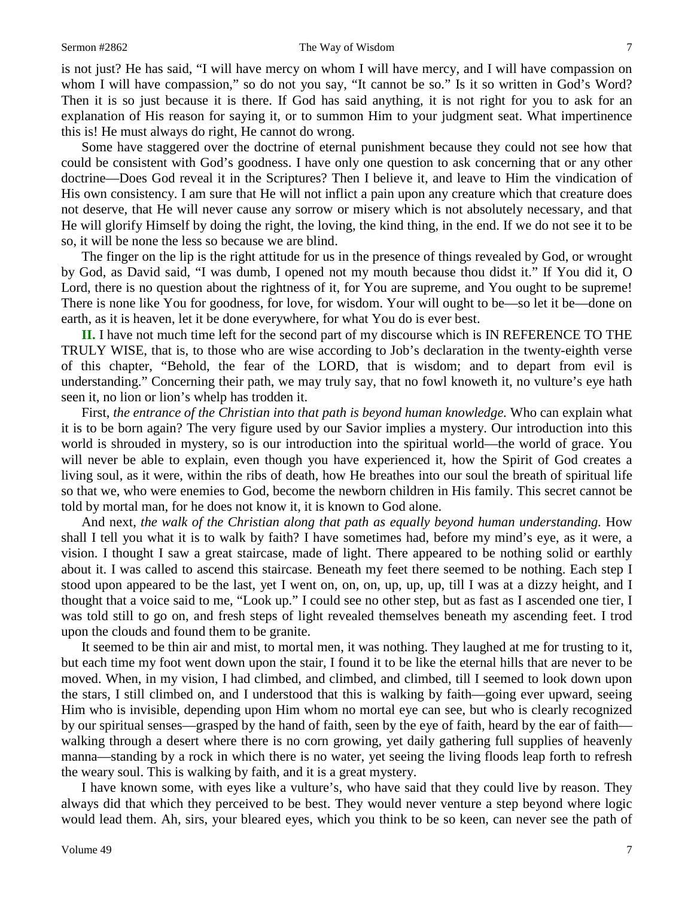is not just? He has said, "I will have mercy on whom I will have mercy, and I will have compassion on whom I will have compassion," so do not you say, "It cannot be so." Is it so written in God's Word? Then it is so just because it is there. If God has said anything, it is not right for you to ask for an explanation of His reason for saying it, or to summon Him to your judgment seat. What impertinence this is! He must always do right, He cannot do wrong.

Some have staggered over the doctrine of eternal punishment because they could not see how that could be consistent with God's goodness. I have only one question to ask concerning that or any other doctrine—Does God reveal it in the Scriptures? Then I believe it, and leave to Him the vindication of His own consistency. I am sure that He will not inflict a pain upon any creature which that creature does not deserve, that He will never cause any sorrow or misery which is not absolutely necessary, and that He will glorify Himself by doing the right, the loving, the kind thing, in the end. If we do not see it to be so, it will be none the less so because we are blind.

The finger on the lip is the right attitude for us in the presence of things revealed by God, or wrought by God, as David said, "I was dumb, I opened not my mouth because thou didst it." If You did it, O Lord, there is no question about the rightness of it, for You are supreme, and You ought to be supreme! There is none like You for goodness, for love, for wisdom. Your will ought to be—so let it be—done on earth, as it is heaven, let it be done everywhere, for what You do is ever best.

**II.** I have not much time left for the second part of my discourse which is IN REFERENCE TO THE TRULY WISE, that is, to those who are wise according to Job's declaration in the twenty-eighth verse of this chapter, "Behold, the fear of the LORD, that is wisdom; and to depart from evil is understanding." Concerning their path, we may truly say, that no fowl knoweth it, no vulture's eye hath seen it, no lion or lion's whelp has trodden it.

First, *the entrance of the Christian into that path is beyond human knowledge.* Who can explain what it is to be born again? The very figure used by our Savior implies a mystery. Our introduction into this world is shrouded in mystery, so is our introduction into the spiritual world—the world of grace. You will never be able to explain, even though you have experienced it, how the Spirit of God creates a living soul, as it were, within the ribs of death, how He breathes into our soul the breath of spiritual life so that we, who were enemies to God, become the newborn children in His family. This secret cannot be told by mortal man, for he does not know it, it is known to God alone.

And next, *the walk of the Christian along that path as equally beyond human understanding.* How shall I tell you what it is to walk by faith? I have sometimes had, before my mind's eye, as it were, a vision. I thought I saw a great staircase, made of light. There appeared to be nothing solid or earthly about it. I was called to ascend this staircase. Beneath my feet there seemed to be nothing. Each step I stood upon appeared to be the last, yet I went on, on, on, up, up, up, till I was at a dizzy height, and I thought that a voice said to me, "Look up." I could see no other step, but as fast as I ascended one tier, I was told still to go on, and fresh steps of light revealed themselves beneath my ascending feet. I trod upon the clouds and found them to be granite.

It seemed to be thin air and mist, to mortal men, it was nothing. They laughed at me for trusting to it, but each time my foot went down upon the stair, I found it to be like the eternal hills that are never to be moved. When, in my vision, I had climbed, and climbed, and climbed, till I seemed to look down upon the stars, I still climbed on, and I understood that this is walking by faith—going ever upward, seeing Him who is invisible, depending upon Him whom no mortal eye can see, but who is clearly recognized by our spiritual senses—grasped by the hand of faith, seen by the eye of faith, heard by the ear of faith walking through a desert where there is no corn growing, yet daily gathering full supplies of heavenly manna—standing by a rock in which there is no water, yet seeing the living floods leap forth to refresh the weary soul. This is walking by faith, and it is a great mystery.

I have known some, with eyes like a vulture's, who have said that they could live by reason. They always did that which they perceived to be best. They would never venture a step beyond where logic would lead them. Ah, sirs, your bleared eyes, which you think to be so keen, can never see the path of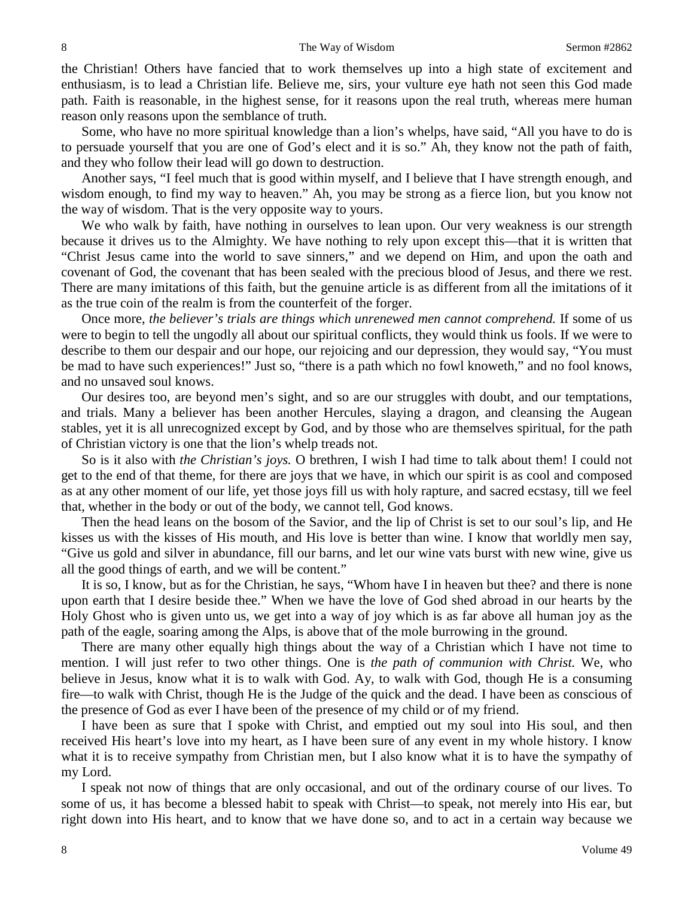the Christian! Others have fancied that to work themselves up into a high state of excitement and enthusiasm, is to lead a Christian life. Believe me, sirs, your vulture eye hath not seen this God made path. Faith is reasonable, in the highest sense, for it reasons upon the real truth, whereas mere human reason only reasons upon the semblance of truth.

Some, who have no more spiritual knowledge than a lion's whelps, have said, "All you have to do is to persuade yourself that you are one of God's elect and it is so." Ah, they know not the path of faith, and they who follow their lead will go down to destruction.

Another says, "I feel much that is good within myself, and I believe that I have strength enough, and wisdom enough, to find my way to heaven." Ah, you may be strong as a fierce lion, but you know not the way of wisdom. That is the very opposite way to yours.

We who walk by faith, have nothing in ourselves to lean upon. Our very weakness is our strength because it drives us to the Almighty. We have nothing to rely upon except this—that it is written that "Christ Jesus came into the world to save sinners," and we depend on Him, and upon the oath and covenant of God, the covenant that has been sealed with the precious blood of Jesus, and there we rest. There are many imitations of this faith, but the genuine article is as different from all the imitations of it as the true coin of the realm is from the counterfeit of the forger.

Once more, *the believer's trials are things which unrenewed men cannot comprehend.* If some of us were to begin to tell the ungodly all about our spiritual conflicts, they would think us fools. If we were to describe to them our despair and our hope, our rejoicing and our depression, they would say, "You must be mad to have such experiences!" Just so, "there is a path which no fowl knoweth," and no fool knows, and no unsaved soul knows.

Our desires too, are beyond men's sight, and so are our struggles with doubt, and our temptations, and trials. Many a believer has been another Hercules, slaying a dragon, and cleansing the Augean stables, yet it is all unrecognized except by God, and by those who are themselves spiritual, for the path of Christian victory is one that the lion's whelp treads not.

So is it also with *the Christian's joys.* O brethren, I wish I had time to talk about them! I could not get to the end of that theme, for there are joys that we have, in which our spirit is as cool and composed as at any other moment of our life, yet those joys fill us with holy rapture, and sacred ecstasy, till we feel that, whether in the body or out of the body, we cannot tell, God knows.

Then the head leans on the bosom of the Savior, and the lip of Christ is set to our soul's lip, and He kisses us with the kisses of His mouth, and His love is better than wine. I know that worldly men say, "Give us gold and silver in abundance, fill our barns, and let our wine vats burst with new wine, give us all the good things of earth, and we will be content."

It is so, I know, but as for the Christian, he says, "Whom have I in heaven but thee? and there is none upon earth that I desire beside thee." When we have the love of God shed abroad in our hearts by the Holy Ghost who is given unto us, we get into a way of joy which is as far above all human joy as the path of the eagle, soaring among the Alps, is above that of the mole burrowing in the ground.

There are many other equally high things about the way of a Christian which I have not time to mention. I will just refer to two other things. One is *the path of communion with Christ.* We, who believe in Jesus, know what it is to walk with God. Ay, to walk with God, though He is a consuming fire—to walk with Christ, though He is the Judge of the quick and the dead. I have been as conscious of the presence of God as ever I have been of the presence of my child or of my friend.

I have been as sure that I spoke with Christ, and emptied out my soul into His soul, and then received His heart's love into my heart, as I have been sure of any event in my whole history. I know what it is to receive sympathy from Christian men, but I also know what it is to have the sympathy of my Lord.

I speak not now of things that are only occasional, and out of the ordinary course of our lives. To some of us, it has become a blessed habit to speak with Christ—to speak, not merely into His ear, but right down into His heart, and to know that we have done so, and to act in a certain way because we